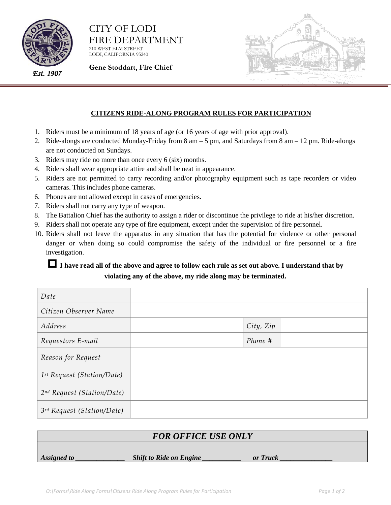

CITY OF LODI FIRE DEPARTMENT 210 WEST ELM STREET

LODI, CALIFORNIA 95240

*Est. 1907*

**Gene Stoddart, Fire Chief**



## **CITIZENS RIDE-ALONG PROGRAM RULES FOR PARTICIPATION**

- 1. Riders must be a minimum of 18 years of age (or 16 years of age with prior approval).
- 2. Ride-alongs are conducted Monday-Friday from 8 am 5 pm, and Saturdays from 8 am 12 pm. Ride-alongs are not conducted on Sundays.
- 3. Riders may ride no more than once every 6 (six) months.
- 4. Riders shall wear appropriate attire and shall be neat in appearance.
- 5. Riders are not permitted to carry recording and/or photography equipment such as tape recorders or video cameras. This includes phone cameras.
- 6. Phones are not allowed except in cases of emergencies.
- 7. Riders shall not carry any type of weapon.
- 8. The Battalion Chief has the authority to assign a rider or discontinue the privilege to ride at his/her discretion.
- 9. Riders shall not operate any type of fire equipment, except under the supervision of fire personnel.
- 10. Riders shall not leave the apparatus in any situation that has the potential for violence or other personal danger or when doing so could compromise the safety of the individual or fire personnel or a fire investigation.

## **I have read all of the above and agree to follow each rule as set out above. I understand that by violating any of the above, my ride along may be terminated.**

| Date                         |           |
|------------------------------|-----------|
| Citizen Observer Name        |           |
| Address                      | City, Zip |
| Requestors E-mail            | Phone #   |
| Reason for Request           |           |
| $1st$ Request (Station/Date) |           |
| 2nd Request (Station/Date)   |           |
| 3rd Request (Station/Date)   |           |

| <b>FOR OFFICE USE ONLY</b> |                                |          |  |
|----------------------------|--------------------------------|----------|--|
| Assigned to                | <b>Shift to Ride on Engine</b> | or Truck |  |
|                            |                                |          |  |